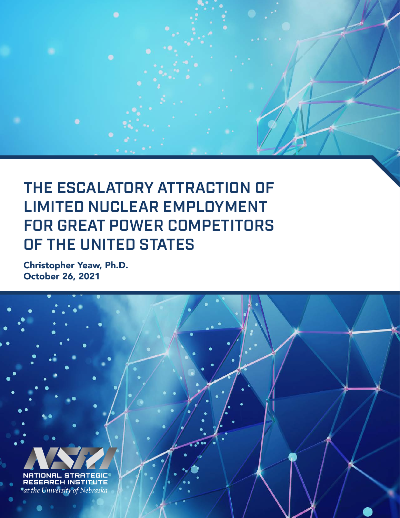

Christopher Yeaw, Ph.D. October 26, 2021

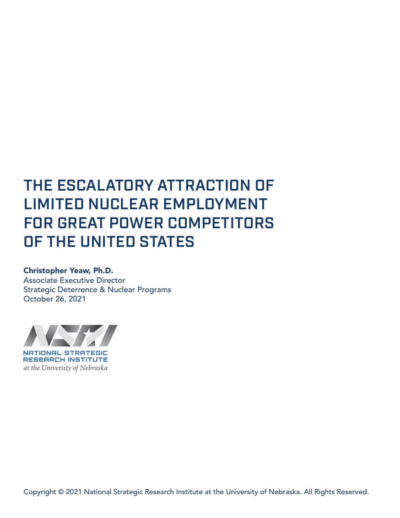# THE ESCALATORY ATTRACTION OF LIMITED NUCLEAR EMPLOYMENT FOR GREAT POWER COMPETITORS OF THE UNITED STATES

#### Christopher Yeaw, Ph.D.

Associate Executive Director Strategic Deterrence & Nuclear Programs October 26, 2021

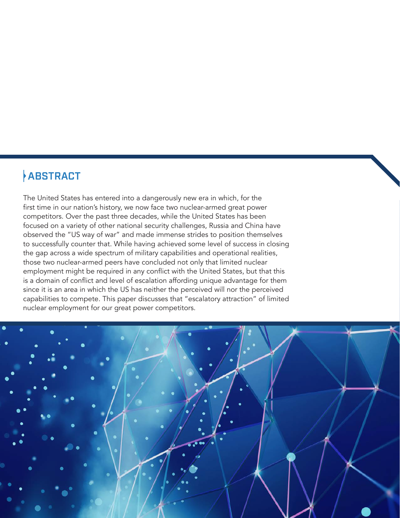# ABSTRACT

The United States has entered into a dangerously new era in which, for the first time in our nation's history, we now face two nuclear-armed great power competitors. Over the past three decades, while the United States has been focused on a variety of other national security challenges, Russia and China have observed the "US way of war" and made immense strides to position themselves to successfully counter that. While having achieved some level of success in closing the gap across a wide spectrum of military capabilities and operational realities, those two nuclear-armed peers have concluded not only that limited nuclear employment might be required in any conflict with the United States, but that this is a domain of conflict and level of escalation affording unique advantage for them since it is an area in which the US has neither the perceived will nor the perceived capabilities to compete. This paper discusses that "escalatory attraction" of limited nuclear employment for our great power competitors.

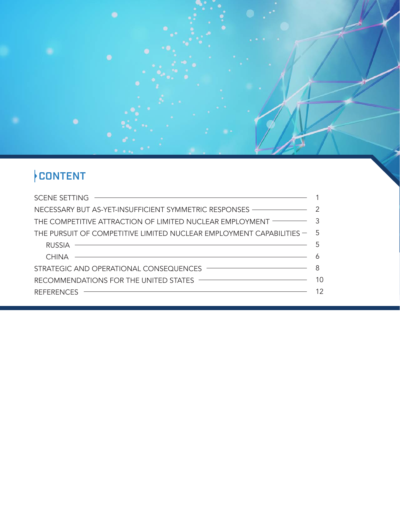

| SCENE SETTING <b>CONTROL CONTROL CONTROL CONTROL CONTROL CONTROL CONTROL CONTROL CONTROL CONTROL CONTROL CONTROL CONTROL CONTROL CONTROL CONTROL CONTROL CONTROL CONTROL CONTROL CONTROL</b> |  |
|----------------------------------------------------------------------------------------------------------------------------------------------------------------------------------------------|--|
| NECESSARY BUT AS-YET-INSUFFICIENT SYMMETRIC RESPONSES 2                                                                                                                                      |  |
| THE COMPETITIVE ATTRACTION OF LIMITED NUCLEAR EMPLOYMENT <sup>2</sup>                                                                                                                        |  |
| THE PURSUIT OF COMPETITIVE LIMITED NUCLEAR EMPLOYMENT CAPABILITIES $-5$                                                                                                                      |  |
| $RUSSIA$ $\qquad \qquad$ 5                                                                                                                                                                   |  |
|                                                                                                                                                                                              |  |
|                                                                                                                                                                                              |  |
| RECOMMENDATIONS FOR THE UNITED STATES <b>THE STATES THE</b>                                                                                                                                  |  |
| REFERENCES – 12                                                                                                                                                                              |  |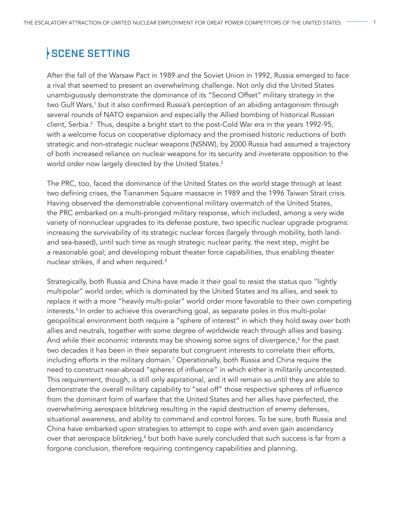# SCENE SETTING

After the fall of the Warsaw Pact in 1989 and the Soviet Union in 1992, Russia emerged to face a rival that seemed to present an overwhelming challenge. Not only did the United States unambiguously demonstrate the dominance of its "Second Offset" military strategy in the two Gulf Wars,<sup>1</sup> but it also confirmed Russia's perception of an abiding antagonism through several rounds of NATO expansion and especially the Allied bombing of historical Russian client, Serbia.<sup>2</sup> Thus, despite a bright start to the post-Cold War era in the years 1992-95, with a welcome focus on cooperative diplomacy and the promised historic reductions of both strategic and non-strategic nuclear weapons (NSNW), by 2000 Russia had assumed a trajectory of both increased reliance on nuclear weapons for its security and inveterate opposition to the world order now largely directed by the United States.<sup>3</sup>

The PRC, too, faced the dominance of the United States on the world stage through at least two defining crises, the Tiananmen Square massacre in 1989 and the 1996 Taiwan Strait crisis. Having observed the demonstrable conventional military overmatch of the United States, the PRC embarked on a multi-pronged military response, which included, among a very wide variety of nonnuclear upgrades to its defense posture, two specific nuclear upgrade programs: increasing the survivability of its strategic nuclear forces (largely through mobility, both landand sea-based), until such time as rough strategic nuclear parity, the next step, might be a reasonable goal; and developing robust theater force capabilities, thus enabling theater nuclear strikes, if and when required.<sup>4</sup>

Strategically, both Russia and China have made it their goal to resist the status quo "lightly multipolar" world order, which is dominated by the United States and its allies, and seek to replace it with a more "heavily multi-polar" world order more favorable to their own competing interests.<sup>5</sup> In order to achieve this overarching goal, as separate poles in this multi-polar geopolitical environment both require a "sphere of interest" in which they hold sway over both allies and neutrals, together with some degree of worldwide reach through allies and basing. And while their economic interests may be showing some signs of divergence,<sup>6</sup> for the past two decades it has been in their separate but congruent interests to correlate their efforts, including efforts in the military domain.<sup>7</sup> Operationally, both Russia and China require the need to construct near-abroad "spheres of influence" in which either is militarily uncontested. This requirement, though, is still only aspirational, and it will remain so until they are able to demonstrate the overall military capability to "seal off" those respective spheres of influence from the dominant form of warfare that the United States and her allies have perfected, the overwhelming aerospace blitzkrieg resulting in the rapid destruction of enemy defenses, situational awareness, and ability to command and control forces. To be sure, both Russia and China have embarked upon strategies to attempt to cope with and even gain ascendancy over that aerospace blitzkrieg,<sup>8</sup> but both have surely concluded that such success is far from a forgone conclusion, therefore requiring contingency capabilities and planning.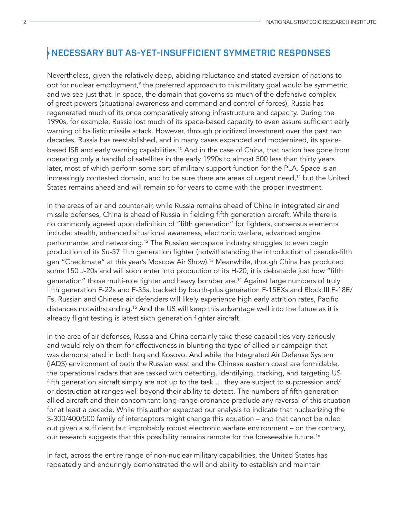#### NECESSARY BUT AS-YET-INSUFFICIENT SYMMETRIC RESPONSES

Nevertheless, given the relatively deep, abiding reluctance and stated aversion of nations to opt for nuclear employment,<sup>9</sup> the preferred approach to this military goal would be symmetric, and we see just that. In space, the domain that governs so much of the defensive complex of great powers (situational awareness and command and control of forces), Russia has regenerated much of its once comparatively strong infrastructure and capacity. During the 1990s, for example, Russia lost much of its space-based capacity to even assure sufficient early warning of ballistic missile attack. However, through prioritized investment over the past two decades, Russia has reestablished, and in many cases expanded and modernized, its spacebased ISR and early warning capabilities.<sup>10</sup> And in the case of China, that nation has gone from operating only a handful of satellites in the early 1990s to almost 500 less than thirty years later, most of which perform some sort of military support function for the PLA. Space is an increasingly contested domain, and to be sure there are areas of urgent need,<sup>11</sup> but the United States remains ahead and will remain so for years to come with the proper investment.

In the areas of air and counter-air, while Russia remains ahead of China in integrated air and missile defenses, China is ahead of Russia in fielding fifth generation aircraft. While there is no commonly agreed upon definition of "fifth generation" for fighters, consensus elements include: stealth, enhanced situational awareness, electronic warfare, advanced engine performance, and networking.<sup>12</sup> The Russian aerospace industry struggles to even begin production of its Su-57 fifth generation fighter (notwithstanding the introduction of pseudo-fifth gen "Checkmate" at this year's Moscow Air Show).<sup>13</sup> Meanwhile, though China has produced some 150 J-20s and will soon enter into production of its H-20, it is debatable just how "fifth generation" those multi-role fighter and heavy bomber are.<sup>14</sup> Against large numbers of truly fifth generation F-22s and F-35s, backed by fourth-plus generation F-15EXs and Block III F-18E/ Fs, Russian and Chinese air defenders will likely experience high early attrition rates, Pacific distances notwithstanding.<sup>15</sup> And the US will keep this advantage well into the future as it is already flight testing is latest sixth generation fighter aircraft.

In the area of air defenses, Russia and China certainly take these capabilities very seriously and would rely on them for effectiveness in blunting the type of allied air campaign that was demonstrated in both Iraq and Kosovo. And while the Integrated Air Defense System (IADS) environment of both the Russian west and the Chinese eastern coast are formidable, the operational radars that are tasked with detecting, identifying, tracking, and targeting US fifth generation aircraft simply are not up to the task … they are subject to suppression and/ or destruction at ranges well beyond their ability to detect. The numbers of fifth generation allied aircraft and their concomitant long-range ordnance preclude any reversal of this situation for at least a decade. While this author expected our analysis to indicate that nuclearizing the S-300/400/500 family of interceptors might change this equation – and that cannot be ruled out given a sufficient but improbably robust electronic warfare environment – on the contrary, our research suggests that this possibility remains remote for the foreseeable future.<sup>16</sup>

In fact, across the entire range of non-nuclear military capabilities, the United States has repeatedly and enduringly demonstrated the will and ability to establish and maintain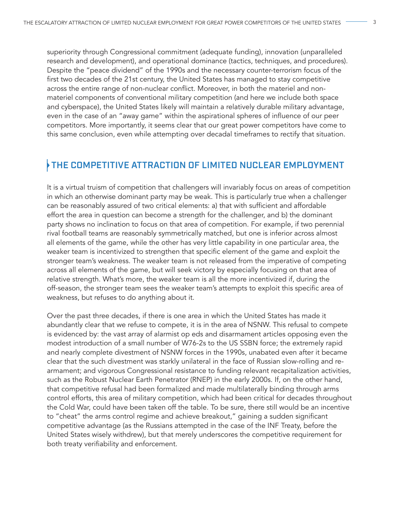superiority through Congressional commitment (adequate funding), innovation (unparalleled research and development), and operational dominance (tactics, techniques, and procedures). Despite the "peace dividend" of the 1990s and the necessary counter-terrorism focus of the first two decades of the 21st century, the United States has managed to stay competitive across the entire range of non-nuclear conflict. Moreover, in both the materiel and nonmateriel components of conventional military competition (and here we include both space and cyberspace), the United States likely will maintain a relatively durable military advantage, even in the case of an "away game" within the aspirational spheres of influence of our peer competitors. More importantly, it seems clear that our great power competitors have come to this same conclusion, even while attempting over decadal timeframes to rectify that situation.

### THE COMPETITIVE ATTRACTION OF LIMITED NUCLEAR EMPLOYMENT

It is a virtual truism of competition that challengers will invariably focus on areas of competition in which an otherwise dominant party may be weak. This is particularly true when a challenger can be reasonably assured of two critical elements: a) that with sufficient and affordable effort the area in question can become a strength for the challenger, and b) the dominant party shows no inclination to focus on that area of competition. For example, if two perennial rival football teams are reasonably symmetrically matched, but one is inferior across almost all elements of the game, while the other has very little capability in one particular area, the weaker team is incentivized to strengthen that specific element of the game and exploit the stronger team's weakness. The weaker team is not released from the imperative of competing across all elements of the game, but will seek victory by especially focusing on that area of relative strength. What's more, the weaker team is all the more incentivized if, during the off-season, the stronger team sees the weaker team's attempts to exploit this specific area of weakness, but refuses to do anything about it.

Over the past three decades, if there is one area in which the United States has made it abundantly clear that we refuse to compete, it is in the area of NSNW. This refusal to compete is evidenced by: the vast array of alarmist op eds and disarmament articles opposing even the modest introduction of a small number of W76-2s to the US SSBN force; the extremely rapid and nearly complete divestment of NSNW forces in the 1990s, unabated even after it became clear that the such divestment was starkly unilateral in the face of Russian slow-rolling and rearmament; and vigorous Congressional resistance to funding relevant recapitalization activities, such as the Robust Nuclear Earth Penetrator (RNEP) in the early 2000s. If, on the other hand, that competitive refusal had been formalized and made multilaterally binding through arms control efforts, this area of military competition, which had been critical for decades throughout the Cold War, could have been taken off the table. To be sure, there still would be an incentive to "cheat" the arms control regime and achieve breakout," gaining a sudden significant competitive advantage (as the Russians attempted in the case of the INF Treaty, before the United States wisely withdrew), but that merely underscores the competitive requirement for both treaty verifiability and enforcement.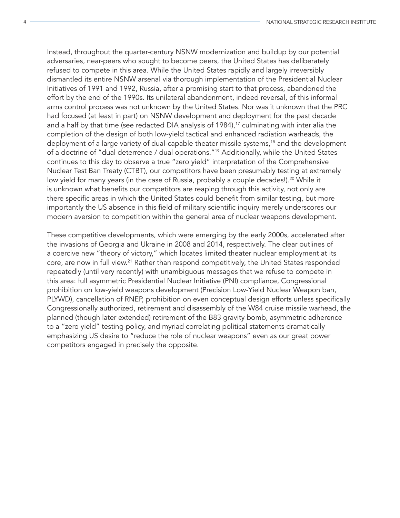Instead, throughout the quarter-century NSNW modernization and buildup by our potential adversaries, near-peers who sought to become peers, the United States has deliberately refused to compete in this area. While the United States rapidly and largely irreversibly dismantled its entire NSNW arsenal via thorough implementation of the Presidential Nuclear Initiatives of 1991 and 1992, Russia, after a promising start to that process, abandoned the effort by the end of the 1990s. Its unilateral abandonment, indeed reversal, of this informal arms control process was not unknown by the United States. Nor was it unknown that the PRC had focused (at least in part) on NSNW development and deployment for the past decade and a half by that time (see redacted DIA analysis of 1984),<sup>17</sup> culminating with inter alia the completion of the design of both low-yield tactical and enhanced radiation warheads, the deployment of a large variety of dual-capable theater missile systems,<sup>18</sup> and the development of a doctrine of "dual deterrence / dual operations."19 Additionally, while the United States continues to this day to observe a true "zero yield" interpretation of the Comprehensive Nuclear Test Ban Treaty (CTBT), our competitors have been presumably testing at extremely low yield for many years (in the case of Russia, probably a couple decades!).<sup>20</sup> While it is unknown what benefits our competitors are reaping through this activity, not only are there specific areas in which the United States could benefit from similar testing, but more importantly the US absence in this field of military scientific inquiry merely underscores our modern aversion to competition within the general area of nuclear weapons development.

These competitive developments, which were emerging by the early 2000s, accelerated after the invasions of Georgia and Ukraine in 2008 and 2014, respectively. The clear outlines of a coercive new "theory of victory," which locates limited theater nuclear employment at its core, are now in full view.<sup>21</sup> Rather than respond competitively, the United States responded repeatedly (until very recently) with unambiguous messages that we refuse to compete in this area: full asymmetric Presidential Nuclear Initiative (PNI) compliance, Congressional prohibition on low-yield weapons development (Precision Low-Yield Nuclear Weapon ban, PLYWD), cancellation of RNEP, prohibition on even conceptual design efforts unless specifically Congressionally authorized, retirement and disassembly of the W84 cruise missile warhead, the planned (though later extended) retirement of the B83 gravity bomb, asymmetric adherence to a "zero yield" testing policy, and myriad correlating political statements dramatically emphasizing US desire to "reduce the role of nuclear weapons" even as our great power competitors engaged in precisely the opposite.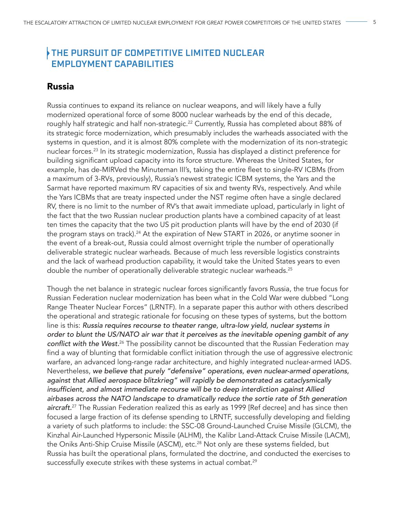### THE PURSUIT OF COMPETITIVE LIMITED NUCLEAR EMPLOYMENT CAPABILITIES

#### Russia

Russia continues to expand its reliance on nuclear weapons, and will likely have a fully modernized operational force of some 8000 nuclear warheads by the end of this decade, roughly half strategic and half non-strategic.<sup>22</sup> Currently, Russia has completed about 88% of its strategic force modernization, which presumably includes the warheads associated with the systems in question, and it is almost 80% complete with the modernization of its non-strategic nuclear forces.<sup>23</sup> In its strategic modernization, Russia has displayed a distinct preference for building significant upload capacity into its force structure. Whereas the United States, for example, has de-MIRVed the Minuteman III's, taking the entire fleet to single-RV ICBMs (from a maximum of 3-RVs, previously), Russia's newest strategic ICBM systems, the Yars and the Sarmat have reported maximum RV capacities of six and twenty RVs, respectively. And while the Yars ICBMs that are treaty inspected under the NST regime often have a single declared RV, there is no limit to the number of RV's that await immediate upload, particularly in light of the fact that the two Russian nuclear production plants have a combined capacity of at least ten times the capacity that the two US pit production plants will have by the end of 2030 (if the program stays on track).<sup>24</sup> At the expiration of New START in 2026, or anytime sooner in the event of a break-out, Russia could almost overnight triple the number of operationally deliverable strategic nuclear warheads. Because of much less reversible logistics constraints and the lack of warhead production capability, it would take the United States years to even double the number of operationally deliverable strategic nuclear warheads.<sup>25</sup>

Though the net balance in strategic nuclear forces significantly favors Russia, the true focus for Russian Federation nuclear modernization has been what in the Cold War were dubbed "Long Range Theater Nuclear Forces" (LRNTF). In a separate paper this author with others described the operational and strategic rationale for focusing on these types of systems, but the bottom line is this: *Russia requires recourse to theater range, ultra-low yield, nuclear systems in order to blunt the US/NATO air war that it perceives as the inevitable opening gambit of any*  conflict with the West.<sup>26</sup> The possibility cannot be discounted that the Russian Federation may find a way of blunting that formidable conflict initiation through the use of aggressive electronic warfare, an advanced long-range radar architecture, and highly integrated nuclear-armed IADS. Nevertheless, *we believe that purely "defensive" operations, even nuclear-armed operations, against that Allied aerospace blitzkrieg" will rapidly be demonstrated as cataclysmically*  insufficient, and almost immediate recourse will be to deep interdiction against Allied *airbases across the NATO landscape to dramatically reduce the sortie rate of 5th generation*  aircraft.<sup>27</sup> The Russian Federation realized this as early as 1999 [Ref decree] and has since then focused a large fraction of its defense spending to LRNTF, successfully developing and fielding a variety of such platforms to include: the SSC-08 Ground-Launched Cruise Missile (GLCM), the Kinzhal Air-Launched Hypersonic Missile (ALHM), the Kalibr Land-Attack Cruise Missile (LACM), the Oniks Anti-Ship Cruise Missile (ASCM), etc.<sup>28</sup> Not only are these systems fielded, but Russia has built the operational plans, formulated the doctrine, and conducted the exercises to successfully execute strikes with these systems in actual combat.<sup>29</sup>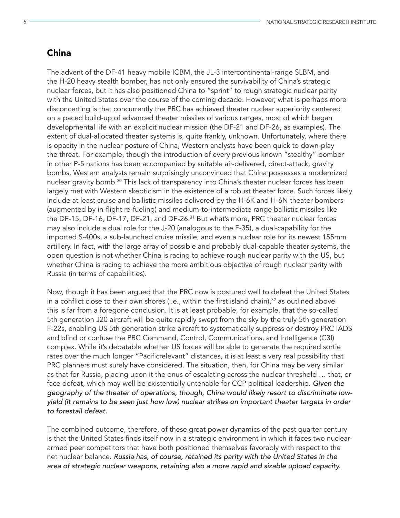#### China

The advent of the DF-41 heavy mobile ICBM, the JL-3 intercontinental-range SLBM, and the H-20 heavy stealth bomber, has not only ensured the survivability of China's strategic nuclear forces, but it has also positioned China to "sprint" to rough strategic nuclear parity with the United States over the course of the coming decade. However, what is perhaps more disconcerting is that concurrently the PRC has achieved theater nuclear superiority centered on a paced build-up of advanced theater missiles of various ranges, most of which began developmental life with an explicit nuclear mission (the DF-21 and DF-26, as examples). The extent of dual-allocated theater systems is, quite frankly, unknown. Unfortunately, where there is opacity in the nuclear posture of China, Western analysts have been quick to down-play the threat. For example, though the introduction of every previous known "stealthy" bomber in other P-5 nations has been accompanied by suitable air-delivered, direct-attack, gravity bombs, Western analysts remain surprisingly unconvinced that China possesses a modernized nuclear gravity bomb.<sup>30</sup> This lack of transparency into China's theater nuclear forces has been largely met with Western skepticism in the existence of a robust theater force. Such forces likely include at least cruise and ballistic missiles delivered by the H-6K and H-6N theater bombers (augmented by in-flight re-fueling) and medium-to-intermediate range ballistic missiles like the DF-15, DF-16, DF-17, DF-21, and DF-26.<sup>31</sup> But what's more, PRC theater nuclear forces may also include a dual role for the J-20 (analogous to the F-35), a dual-capability for the imported S-400s, a sub-launched cruise missile, and even a nuclear role for its newest 155mm artillery. In fact, with the large array of possible and probably dual-capable theater systems, the open question is not whether China is racing to achieve rough nuclear parity with the US, but whether China is racing to achieve the more ambitious objective of rough nuclear parity with Russia (in terms of capabilities).

Now, though it has been argued that the PRC now is postured well to defeat the United States in a conflict close to their own shores (i.e., within the first island chain),<sup>32</sup> as outlined above this is far from a foregone conclusion. It is at least probable, for example, that the so-called 5th generation J20 aircraft will be quite rapidly swept from the sky by the truly 5th generation F-22s, enabling US 5th generation strike aircraft to systematically suppress or destroy PRC IADS and blind or confuse the PRC Command, Control, Communications, and Intelligence (C3I) complex. While it's debatable whether US forces will be able to generate the required sortie rates over the much longer "Pacificrelevant" distances, it is at least a very real possibility that PRC planners must surely have considered. The situation, then, for China may be very similar as that for Russia, placing upon it the onus of escalating across the nuclear threshold … that, or face defeat, which may well be existentially untenable for CCP political leadership. *Given the geography of the theater of operations, though, China would likely resort to discriminate lowyield (it remains to be seen just how low) nuclear strikes on important theater targets in order*  to forestall defeat.

The combined outcome, therefore, of these great power dynamics of the past quarter century is that the United States finds itself now in a strategic environment in which it faces two nucleararmed peer competitors that have both positioned themselves favorably with respect to the net nuclear balance. *Russia has, of course, retained its parity with the United States in the*  area of strategic nuclear weapons, retaining also a more rapid and sizable upload capacity.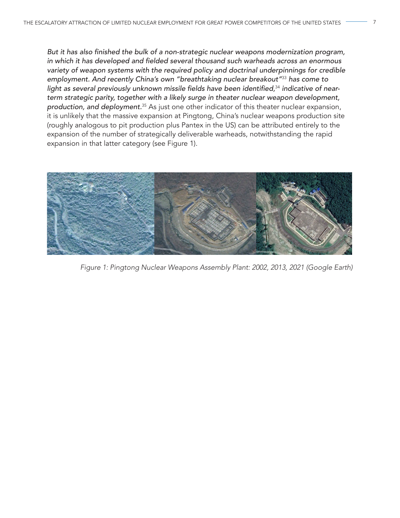But it has also finished the bulk of a non-strategic nuclear weapons modernization program, in which it has developed and fielded several thousand such warheads across an enormous *variety of weapon systems with the required policy and doctrinal underpinnings for credible*  employment. And recently China's own "breathtaking nuclear breakout"<sup>33</sup> *has come to*  light as several previously unknown missile fields have been identified,<sup>34</sup> indicative of near*term strategic parity, together with a likely surge in theater nuclear weapon development,*  production, and deployment.<sup>35</sup> As just one other indicator of this theater nuclear expansion, it is unlikely that the massive expansion at Pingtong, China's nuclear weapons production site (roughly analogous to pit production plus Pantex in the US) can be attributed entirely to the expansion of the number of strategically deliverable warheads, notwithstanding the rapid expansion in that latter category (see Figure 1).



*Figure 1: Pingtong Nuclear Weapons Assembly Plant: 2002, 2013, 2021 (Google Earth)*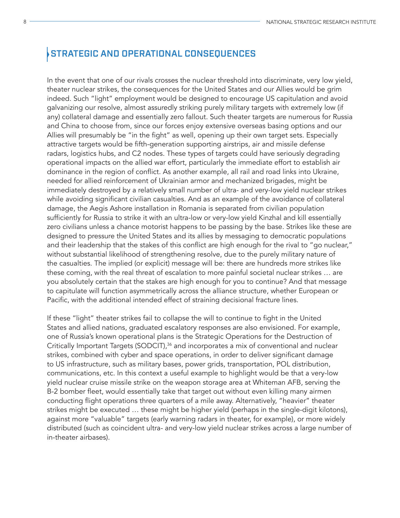#### STRATEGIC AND OPERATIONAL CONSEQUENCES

In the event that one of our rivals crosses the nuclear threshold into discriminate, very low yield, theater nuclear strikes, the consequences for the United States and our Allies would be grim indeed. Such "light" employment would be designed to encourage US capitulation and avoid galvanizing our resolve, almost assuredly striking purely military targets with extremely low (if any) collateral damage and essentially zero fallout. Such theater targets are numerous for Russia and China to choose from, since our forces enjoy extensive overseas basing options and our Allies will presumably be "in the fight" as well, opening up their own target sets. Especially attractive targets would be fifth-generation supporting airstrips, air and missile defense radars, logistics hubs, and C2 nodes. These types of targets could have seriously degrading operational impacts on the allied war effort, particularly the immediate effort to establish air dominance in the region of conflict. As another example, all rail and road links into Ukraine, needed for allied reinforcement of Ukrainian armor and mechanized brigades, might be immediately destroyed by a relatively small number of ultra- and very-low yield nuclear strikes while avoiding significant civilian casualties. And as an example of the avoidance of collateral damage, the Aegis Ashore installation in Romania is separated from civilian population sufficiently for Russia to strike it with an ultra-low or very-low yield Kinzhal and kill essentially zero civilians unless a chance motorist happens to be passing by the base. Strikes like these are designed to pressure the United States and its allies by messaging to democratic populations and their leadership that the stakes of this conflict are high enough for the rival to "go nuclear," without substantial likelihood of strengthening resolve, due to the purely military nature of the casualties. The implied (or explicit) message will be: there are hundreds more strikes like these coming, with the real threat of escalation to more painful societal nuclear strikes … are you absolutely certain that the stakes are high enough for you to continue? And that message to capitulate will function asymmetrically across the alliance structure, whether European or Pacific, with the additional intended effect of straining decisional fracture lines.

If these "light" theater strikes fail to collapse the will to continue to fight in the United States and allied nations, graduated escalatory responses are also envisioned. For example, one of Russia's known operational plans is the Strategic Operations for the Destruction of Critically Important Targets (SODCIT),<sup>36</sup> and incorporates a mix of conventional and nuclear strikes, combined with cyber and space operations, in order to deliver significant damage to US infrastructure, such as military bases, power grids, transportation, POL distribution, communications, etc. In this context a useful example to highlight would be that a very-low yield nuclear cruise missile strike on the weapon storage area at Whiteman AFB, serving the B-2 bomber fleet, would essentially take that target out without even killing many airmen conducting flight operations three quarters of a mile away. Alternatively, "heavier" theater strikes might be executed … these might be higher yield (perhaps in the single-digit kilotons), against more "valuable" targets (early warning radars in theater, for example), or more widely distributed (such as coincident ultra- and very-low yield nuclear strikes across a large number of in-theater airbases).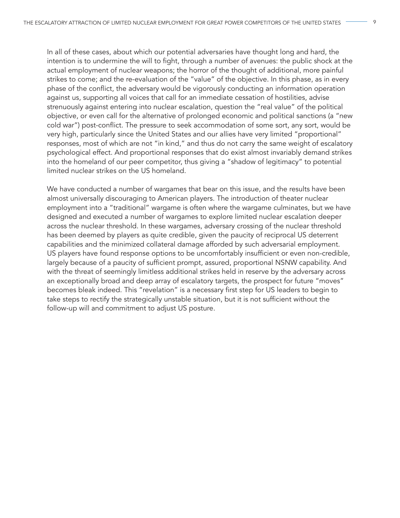In all of these cases, about which our potential adversaries have thought long and hard, the intention is to undermine the will to fight, through a number of avenues: the public shock at the actual employment of nuclear weapons; the horror of the thought of additional, more painful strikes to come; and the re-evaluation of the "value" of the objective. In this phase, as in every phase of the conflict, the adversary would be vigorously conducting an information operation against us, supporting all voices that call for an immediate cessation of hostilities, advise strenuously against entering into nuclear escalation, question the "real value" of the political objective, or even call for the alternative of prolonged economic and political sanctions (a "new cold war") post-conflict. The pressure to seek accommodation of some sort, any sort, would be very high, particularly since the United States and our allies have very limited "proportional" responses, most of which are not "in kind," and thus do not carry the same weight of escalatory psychological effect. And proportional responses that do exist almost invariably demand strikes into the homeland of our peer competitor, thus giving a "shadow of legitimacy" to potential limited nuclear strikes on the US homeland.

We have conducted a number of wargames that bear on this issue, and the results have been almost universally discouraging to American players. The introduction of theater nuclear employment into a "traditional" wargame is often where the wargame culminates, but we have designed and executed a number of wargames to explore limited nuclear escalation deeper across the nuclear threshold. In these wargames, adversary crossing of the nuclear threshold has been deemed by players as quite credible, given the paucity of reciprocal US deterrent capabilities and the minimized collateral damage afforded by such adversarial employment. US players have found response options to be uncomfortably insufficient or even non-credible, largely because of a paucity of sufficient prompt, assured, proportional NSNW capability. And with the threat of seemingly limitless additional strikes held in reserve by the adversary across an exceptionally broad and deep array of escalatory targets, the prospect for future "moves" becomes bleak indeed. This "revelation" is a necessary first step for US leaders to begin to take steps to rectify the strategically unstable situation, but it is not sufficient without the follow-up will and commitment to adjust US posture.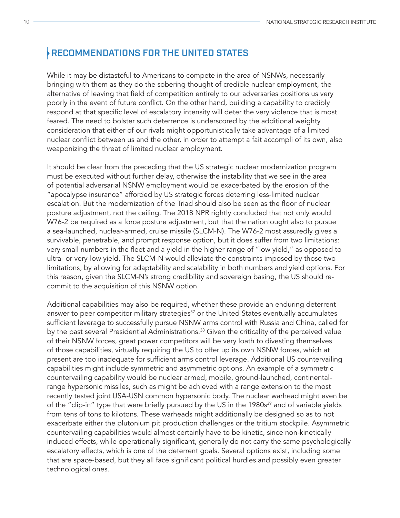#### RECOMMENDATIONS FOR THE UNITED STATES

While it may be distasteful to Americans to compete in the area of NSNWs, necessarily bringing with them as they do the sobering thought of credible nuclear employment, the alternative of leaving that field of competition entirely to our adversaries positions us very poorly in the event of future conflict. On the other hand, building a capability to credibly respond at that specific level of escalatory intensity will deter the very violence that is most feared. The need to bolster such deterrence is underscored by the additional weighty consideration that either of our rivals might opportunistically take advantage of a limited nuclear conflict between us and the other, in order to attempt a fait accompli of its own, also weaponizing the threat of limited nuclear employment.

It should be clear from the preceding that the US strategic nuclear modernization program must be executed without further delay, otherwise the instability that we see in the area of potential adversarial NSNW employment would be exacerbated by the erosion of the "apocalypse insurance" afforded by US strategic forces deterring less-limited nuclear escalation. But the modernization of the Triad should also be seen as the floor of nuclear posture adjustment, not the ceiling. The 2018 NPR rightly concluded that not only would W76-2 be required as a force posture adjustment, but that the nation ought also to pursue a sea-launched, nuclear-armed, cruise missile (SLCM-N). The W76-2 most assuredly gives a survivable, penetrable, and prompt response option, but it does suffer from two limitations: very small numbers in the fleet and a yield in the higher range of "low yield," as opposed to ultra- or very-low yield. The SLCM-N would alleviate the constraints imposed by those two limitations, by allowing for adaptability and scalability in both numbers and yield options. For this reason, given the SLCM-N's strong credibility and sovereign basing, the US should recommit to the acquisition of this NSNW option.

Additional capabilities may also be required, whether these provide an enduring deterrent answer to peer competitor military strategies $37$  or the United States eventually accumulates sufficient leverage to successfully pursue NSNW arms control with Russia and China, called for by the past several Presidential Administrations.<sup>38</sup> Given the criticality of the perceived value of their NSNW forces, great power competitors will be very loath to divesting themselves of those capabilities, virtually requiring the US to offer up its own NSNW forces, which at present are too inadequate for sufficient arms control leverage. Additional US countervailing capabilities might include symmetric and asymmetric options. An example of a symmetric countervailing capability would be nuclear armed, mobile, ground-launched, continentalrange hypersonic missiles, such as might be achieved with a range extension to the most recently tested joint USA-USN common hypersonic body. The nuclear warhead might even be of the "clip-in" type that were briefly pursued by the US in the 1980s<sup>39</sup> and of variable yields from tens of tons to kilotons. These warheads might additionally be designed so as to not exacerbate either the plutonium pit production challenges or the tritium stockpile. Asymmetric countervailing capabilities would almost certainly have to be kinetic, since non-kinetically induced effects, while operationally significant, generally do not carry the same psychologically escalatory effects, which is one of the deterrent goals. Several options exist, including some that are space-based, but they all face significant political hurdles and possibly even greater technological ones.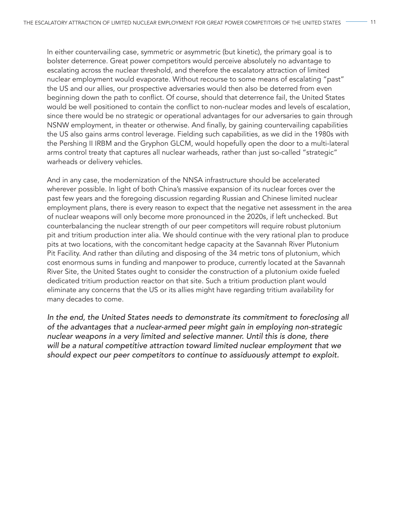In either countervailing case, symmetric or asymmetric (but kinetic), the primary goal is to bolster deterrence. Great power competitors would perceive absolutely no advantage to escalating across the nuclear threshold, and therefore the escalatory attraction of limited nuclear employment would evaporate. Without recourse to some means of escalating "past" the US and our allies, our prospective adversaries would then also be deterred from even beginning down the path to conflict. Of course, should that deterrence fail, the United States would be well positioned to contain the conflict to non-nuclear modes and levels of escalation, since there would be no strategic or operational advantages for our adversaries to gain through NSNW employment, in theater or otherwise. And finally, by gaining countervailing capabilities the US also gains arms control leverage. Fielding such capabilities, as we did in the 1980s with the Pershing II IRBM and the Gryphon GLCM, would hopefully open the door to a multi-lateral arms control treaty that captures all nuclear warheads, rather than just so-called "strategic" warheads or delivery vehicles.

And in any case, the modernization of the NNSA infrastructure should be accelerated wherever possible. In light of both China's massive expansion of its nuclear forces over the past few years and the foregoing discussion regarding Russian and Chinese limited nuclear employment plans, there is every reason to expect that the negative net assessment in the area of nuclear weapons will only become more pronounced in the 2020s, if left unchecked. But counterbalancing the nuclear strength of our peer competitors will require robust plutonium pit and tritium production inter alia. We should continue with the very rational plan to produce pits at two locations, with the concomitant hedge capacity at the Savannah River Plutonium Pit Facility. And rather than diluting and disposing of the 34 metric tons of plutonium, which cost enormous sums in funding and manpower to produce, currently located at the Savannah River Site, the United States ought to consider the construction of a plutonium oxide fueled dedicated tritium production reactor on that site. Such a tritium production plant would eliminate any concerns that the US or its allies might have regarding tritium availability for many decades to come.

*In the end, the United States needs to demonstrate its commitment to foreclosing all of the advantages that a nuclear-armed peer might gain in employing non-strategic*  nuclear weapons in a very limited and selective manner. Until this is done, there *will be a natural competitive attraction toward limited nuclear employment that we*  should expect our peer competitors to continue to assiduously attempt to exploit.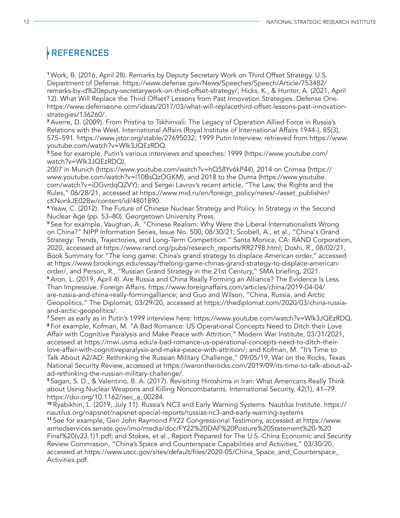### REFERENCES

<sup>1</sup>Work, B. (2016, April 28). Remarks by Deputy Secretary Work on Third Offset Strategy. U.S. Department of Defense. https://www.defense.gov/News/Speeches/Speech/Article/753482/ remarks-by-d%20eputy-secretarywork-on-third-offset-strategy/; Hicks, K., & Hunter, A. (2021, April 12). What Will Replace the Third Offset? Lessons from Past Innovation Strategies. Defense One. https://www.defenseone.com/ideas/2017/03/what-will-replacethird-offset-lessons-past-innovationstrategies/136260/.

<sup>2</sup>Averre, D. (2009). From Pristina to Tskhinvali: The Legacy of Operation Allied Force in Russia's Relations with the West. International Affairs (Royal Institute of International Affairs 1944-), 85(3), 575–591. https://www.jstor.org/stable/27695032; 1999 Putin Interview, retrieved from https://www. youtube.com/watch?v=Wlk3JQEzRDQ

<sup>3</sup> See for example, Putin's various interviews and speeches: 1999 (https://www.youtube.com/ watch?v=Wlk3JQEzRDQ),

2007 in Munich (https://www.youtube.com/watch?v=hQ58Yv6kP44), 2014 on Crimea (https:// www.youtube.com/watch?v=l10BsQzOGKM), and 2018 to the Duma (https://www.youtube. com/watch?v=iDGvrdqQZVY); and Sergei Lavrov's recent article, "The Law, the Rights and the Rules," 06/28/21, accessed at https://www.mid.ru/en/foreign\_policy/news/-/asset\_publisher/ cKNonkJE02Bw/content/id/4801890.

<sup>4</sup>Yeaw, C. (2012). The Future of Chinese Nuclear Strategy and Policy. In Strategy in the Second Nuclear Age (pp. 53–80). Georgetown University Press.

<sup>5</sup> See for example, Vaughan, A. "Chinese Realism: Why Were the Liberal Internationalists Wrong on China?" NIPP Information Series, Issue No. 500, 08/30/21; Scobell, A., et al., "China's Grand Strategy: Trends, Trajectories, and Long-Term Competition." Santa Monica, CA: RAND Corporation, 2020, accessed at https://www.rand.org/pubs/research\_reports/RR2798.html; Doshi, R., 08/02/21, Book Summary for "The long game: China's grand strategy to displace American order," accessed at https://www.brookings.edu/essay/thelong-game-chinas-grand-strategy-to-displace-americanorder/, and Person, R., "Russian Grand Strategy in the 21st Century," SMA briefing, 2021. <sup>6</sup>Aron, L. (2019, April 4). Are Russia and China Really Forming an Alliance? The Evidence Is Less Than Impressive. Foreign Affairs. https://www.foreignaffairs.com/articles/china/2019-04-04/ are-russia-and-china-really-formingalliance; and Guo and Wilson, "China, Russia, and Arctic Geopolitics," The Diplomat, 03/29/20, accessed at https://thediplomat.com/2020/03/china-russiaand-arctic-geopolitics/.

<sup>7</sup>Seen as early as in Putin's 1999 interview here: https://www.youtube.com/watch?v=Wlk3JQEzRDQ. <sup>8</sup>For example, Kofman, M. "A Bad Romance: US Operational Concepts Need to Ditch their Love Affair with Cognitive Paralysis and Make Peace with Attrition," Modern War Institute, 03/31/2021, accessed at https://mwi.usma.edu/a-bad-romance-us-operational-concepts-need-to-ditch-theirlove-affair-with-cognitiveparalysis-and-make-peace-with-attrition/; and Kofman, M. "It's Time to Talk About A2/AD: Rethinking the Russian Military Challenge," 09/05/19, War on the Rocks, Texas National Security Review, accessed at https://warontherocks.com/2019/09/its-time-to-talk-about-a2 ad-rethinking-the-russian-military-challenge/.

<sup>9</sup>Sagan, S. D., & Valentino, B. A. (2017). Revisiting Hiroshima in Iran: What Americans Really Think about Using Nuclear Weapons and Killing Noncombatants. International Security, 42(1), 41–79. https://doi.org/10.1162/isec\_a\_00284.

<sup>10</sup>Ryabikhin, L. (2019, July 11). Russia's NC3 and Early Warning Systems. Nautilus Institute. https:// nautilus.org/napsnet/napsnet-special-reports/russias-nc3-and-early-warning-systems

<sup>11</sup>See for example, Gen John Raymond FY22 Congressional Testimony, accessed at https://www. armedservices.senate.gov/imo/media/doc/FY22%20DAF%20Posture%20Statement%20-%20 Final%20(v23.1)1.pdf; and Stokes, et al., Report Prepared for The U.S.-China Economic and Security Review Commission, "China's Space and Counterspace Capabilities and Activities," 03/30/20, accessed at https://www.uscc.gov/sites/default/files/2020-05/China\_Space\_and\_Counterspace\_ Activities.pdf.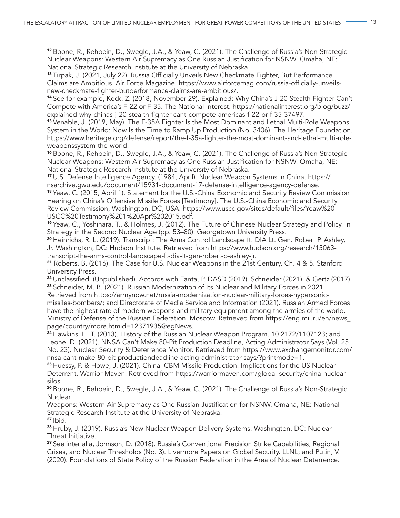<sup>12</sup> Boone, R., Rehbein, D., Swegle, J.A., & Yeaw, C. (2021). The Challenge of Russia's Non-Strategic Nuclear Weapons: Western Air Supremacy as One Russian Justification for NSNW. Omaha, NE: National Strategic Research Institute at the University of Nebraska.

13 Tirpak, J. (2021, July 22). Russia Officially Unveils New Checkmate Fighter, But Performance Claims are Ambitious. Air Force Magazine. https://www.airforcemag.com/russia-officially-unveilsnew-checkmate-fighter-butperformance-claims-are-ambitious/.

<sup>14</sup>See for example, Keck, Z. (2018, November 29). Explained: Why China's J-20 Stealth Fighter Can't Compete with America's F-22 or F-35. The National Interest. https://nationalinterest.org/blog/buzz/ explained-why-chinas-j-20-stealth-fighter-cant-compete-americas-f-22-or-f-35-37497.

<sup>15</sup>Venable, J. (2019, May). The F-35A Fighter Is the Most Dominant and Lethal Multi-Role Weapons System in the World: Now Is the Time to Ramp Up Production (No. 3406). The Heritage Foundation. https://www.heritage.org/defense/report/the-f-35a-fighter-the-most-dominant-and-lethal-multi-roleweaponssystem-the-world.

<sup>16</sup> Boone, R., Rehbein, D., Swegle, J.A., & Yeaw, C. (2021). The Challenge of Russia's Non-Strategic Nuclear Weapons: Western Air Supremacy as One Russian Justification for NSNW. Omaha, NE: National Strategic Research Institute at the University of Nebraska.

<sup>17</sup>U.S. Defense Intelligence Agency. (1984, April). Nuclear Weapon Systems in China. https:// nsarchive.gwu.edu/document/15931-document-17-defense-intelligence-agency-defense.

<sup>18</sup>Yeaw, C. (2015, April 1). Statement for the U.S.-China Economic and Security Review Commission Hearing on China's Offensive Missile Forces [Testimony]. The U.S.-China Economic and Security Review Commission, Washington, DC, USA. https://www.uscc.gov/sites/default/files/Yeaw%20 USCC%20Testimony%201%20Apr%202015.pdf.

<sup>19</sup>Yeaw, C., Yoshihara, T., & Holmes, J. (2012). The Future of Chinese Nuclear Strategy and Policy. In Strategy in the Second Nuclear Age (pp. 53–80). Georgetown University Press.

<sup>20</sup> Heinrichs, R. L. (2019). Transcript: The Arms Control Landscape ft. DIA Lt. Gen. Robert P. Ashley, Jr. Washington, DC: Hudson Institute. Retrieved from https://www.hudson.org/research/15063 transcript-the-arms-control-landscape-ft-dia-lt-gen-robert-p-ashley-jr.

<sup>21</sup> Roberts, B. (2016). The Case for U.S. Nuclear Weapons in the 21st Century. Ch. 4 & 5. Stanford University Press.

22 Unclassified. (Unpublished). Accords with Fanta, P. DASD (2019), Schneider (2021), & Gertz (2017). <sup>23</sup> Schneider, M. B. (2021). Russian Modernization of Its Nuclear and Military Forces in 2021.

Retrieved from https://armynow.net/russia-modernization-nuclear-military-forces-hypersonicmissiles-bombers/; and Directorate of Media Service and Information (2021). Russian Armed Forces have the highest rate of modern weapons and military equipment among the armies of the world. Ministry of Defense of the Russian Federation. Moscow. Retrieved from https://eng.mil.ru/en/news\_ page/country/more.htmid=12371935@egNews.

<sup>24</sup> Hawkins, H. T. (2013). History of the Russian Nuclear Weapon Program. 10.2172/1107123; and Leone, D. (2021). NNSA Can't Make 80-Pit Production Deadline, Acting Administrator Says (Vol. 25. No. 23). Nuclear Security & Deterrence Monitor. Retrieved from https://www.exchangemonitor.com/ nnsa-cant-make-80-pit-productiondeadline-acting-administrator-says/?printmode=1.

<sup>25</sup>Huessy, P. & Howe, J. (2021). China ICBM Missile Production: Implications for the US Nuclear Deterrent. Warrior Maven. Retrieved from https://warriormaven.com/global-security/china-nuclearsilos.

<sup>26</sup>Boone, R., Rehbein, D., Swegle, J.A., & Yeaw, C. (2021). The Challenge of Russia's Non-Strategic **Nuclear** 

Weapons: Western Air Supremacy as One Russian Justification for NSNW. Omaha, NE: National Strategic Research Institute at the University of Nebraska.

27 Ibid.

28 Hruby, J. (2019). Russia's New Nuclear Weapon Delivery Systems. Washington, DC: Nuclear Threat Initiative.

<sup>29</sup>See inter alia, Johnson, D. (2018). Russia's Conventional Precision Strike Capabilities, Regional Crises, and Nuclear Thresholds (No. 3). Livermore Papers on Global Security. LLNL; and Putin, V. (2020). Foundations of State Policy of the Russian Federation in the Area of Nuclear Deterrence.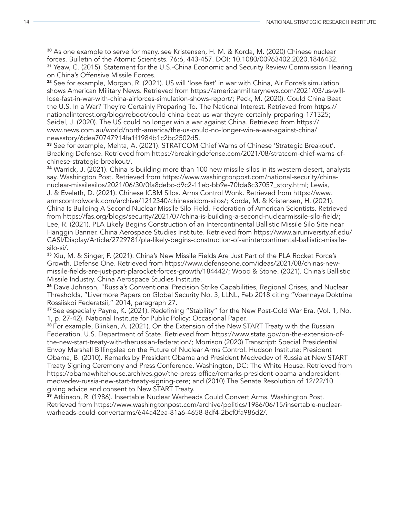<sup>30</sup> As one example to serve for many, see Kristensen, H. M. & Korda, M. (2020) Chinese nuclear forces. Bulletin of the Atomic Scientists. 76:6, 443-457. DOI: 10.1080/00963402.2020.1846432. <sup>31</sup> Yeaw, C. (2015). Statement for the U.S.-China Economic and Security Review Commission Hearing on China's Offensive Missile Forces.

<sup>32</sup> See for example, Morgan, R. (2021). US will 'lose fast' in war with China, Air Force's simulation shows American Military News. Retrieved from https://americanmilitarynews.com/2021/03/us-willlose-fast-in-war-with-china-airforces-simulation-shows-report/; Peck, M. (2020). Could China Beat the U.S. In a War? They're Certainly Preparing To. The National Interest. Retrieved from https:// nationalinterest.org/blog/reboot/could-china-beat-us-war-theyre-certainly-preparing-171325; Seidel, J. (2020). The US could no longer win a war against China. Retrieved from https:// www.news.com.au/world/north-america/the-us-could-no-longer-win-a-war-against-china/ newsstory/6dea70747914fa1f1984b1c2bc2502d5.

33 See for example, Mehta, A. (2021). STRATCOM Chief Warns of Chinese 'Strategic Breakout'. Breaking Defense. Retrieved from https://breakingdefense.com/2021/08/stratcom-chief-warns-ofchinese-strategic-breakout/.

<sup>34</sup> Warrick, J. (2021). China is building more than 100 new missile silos in its western desert, analysts say. Washington Post. Retrieved from https://www.washingtonpost.com/national-security/chinanuclear-missilesilos/2021/06/30/0fa8debc-d9c2-11eb-bb9e-70fda8c37057\_story.html; Lewis, J. & Eveleth, D. (2021). Chinese ICBM Silos. Arms Control Wonk. Retrieved from https://www. armscontrolwonk.com/archive/1212340/chineseicbm-silos/; Korda, M. & Kristensen, H. (2021). China Is Building A Second Nuclear Missile Silo Field. Federation of American Scientists. Retrieved from https://fas.org/blogs/security/2021/07/china-is-building-a-second-nuclearmissile-silo-field/; Lee, R. (2021). PLA Likely Begins Construction of an Intercontinental Ballistic Missile Silo Site near Hanggin Banner. China Aerospace Studies Institute. Retrieved from https://www.airuniversity.af.edu/ CASI/Display/Article/2729781/pla-likely-begins-construction-of-anintercontinental-ballistic-missilesilo-si/.

<sup>35</sup> Xiu, M. & Singer, P. (2021). China's New Missile Fields Are Just Part of the PLA Rocket Force's Growth. Defense One. Retrieved from https://www.defenseone.com/ideas/2021/08/chinas-newmissile-fields-are-just-part-plarocket-forces-growth/184442/; Wood & Stone. (2021). China's Ballistic Missile Industry. China Aerospace Studies Institute.

<sup>36</sup> Dave Johnson, "Russia's Conventional Precision Strike Capabilities, Regional Crises, and Nuclear Thresholds, "Livermore Papers on Global Security No. 3, LLNL, Feb 2018 citing "Voennaya Doktrina Rossiiskoi Federatsii," 2014, paragraph 27.

37 See especially Payne, K. (2021). Redefining "Stability" for the New Post-Cold War Era. (Vol. 1, No. 1, p. 27-42). National Institute for Public Policy: Occasional Paper.

38 For example, Blinken, A. (2021). On the Extension of the New START Treaty with the Russian Federation. U.S. Department of State. Retrieved from https://www.state.gov/on-the-extension-ofthe-new-start-treaty-with-therussian-federation/; Morrison (2020) Transcript: Special Presidential Envoy Marshall Billingslea on the Future of Nuclear Arms Control. Hudson Institute; President Obama, B. (2010). Remarks by President Obama and President Medvedev of Russia at New START Treaty Signing Ceremony and Press Conference. Washington, DC: The White House. Retrieved from https://obamawhitehouse.archives.gov/the-press-office/remarks-president-obama-andpresidentmedvedev-russia-new-start-treaty-signing-cere; and (2010) The Senate Resolution of 12/22/10 giving advice and consent to New START Treaty.

<sup>39</sup> Atkinson, R. (1986). Insertable Nuclear Warheads Could Convert Arms. Washington Post. Retrieved from https://www.washingtonpost.com/archive/politics/1986/06/15/insertable-nuclearwarheads-could-convertarms/644a42ea-81a6-4658-8df4-2bcf0fa986d2/.